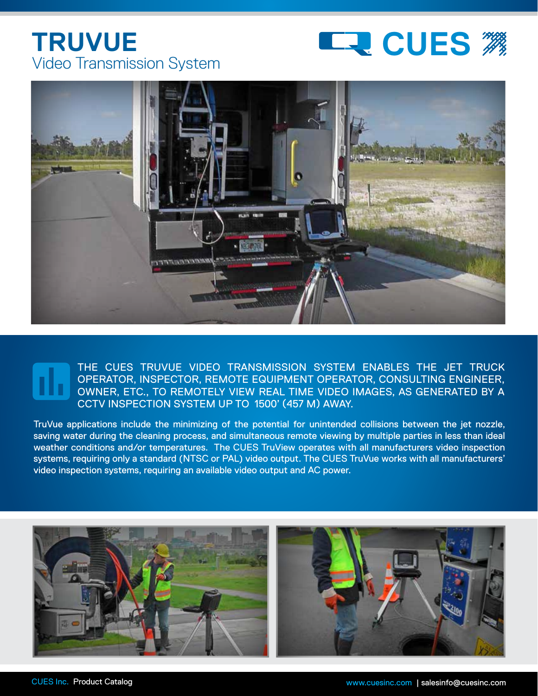## Video Transmission System **TRUVUE**





## THE CUES TRUVUE VIDEO TRANSMISSION SYSTEM ENABLES THE JET TRUCK OPERATOR, INSPECTOR, REMOTE EQUIPMENT OPERATOR, CONSULTING ENGINEER, OWNER, ETC., TO REMOTELY VIEW REAL TIME VIDEO IMAGES, AS GENERATED BY A CCTV INSPECTION SYSTEM UP TO 1500' (457 M) AWAY.

TruVue applications include the minimizing of the potential for unintended collisions between the jet nozzle, saving water during the cleaning process, and simultaneous remote viewing by multiple parties in less than ideal weather conditions and/or temperatures. The CUES TruView operates with all manufacturers video inspection systems, requiring only a standard (NTSC or PAL) video output. The CUES TruVue works with all manufacturers' video inspection systems, requiring an available video output and AC power.